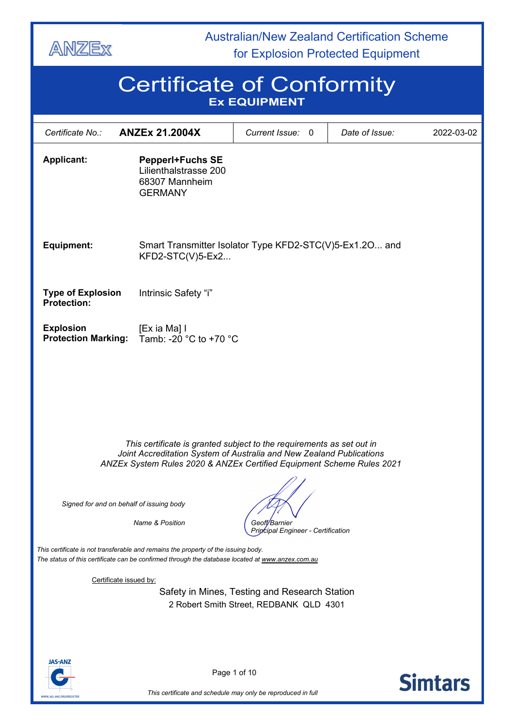

**ANZI** 

 Australian/New Zealand Certification Scheme for Explosion Protected Equipment

# Certificate of Conformity **Ex EQUIPMENT**

| Certificate No.:                                                                                                                                                                                                                                                            | <b>ANZEx 21.2004X</b>                                                                                                                                                                                                  | Current Issue:<br>$\mathbf{0}$          | Date of Issue: | 2022-03-02     |
|-----------------------------------------------------------------------------------------------------------------------------------------------------------------------------------------------------------------------------------------------------------------------------|------------------------------------------------------------------------------------------------------------------------------------------------------------------------------------------------------------------------|-----------------------------------------|----------------|----------------|
| <b>Applicant:</b>                                                                                                                                                                                                                                                           | <b>PepperI+Fuchs SE</b><br>Lilienthalstrasse 200<br>68307 Mannheim<br><b>GERMANY</b>                                                                                                                                   |                                         |                |                |
| <b>Equipment:</b>                                                                                                                                                                                                                                                           | Smart Transmitter Isolator Type KFD2-STC(V)5-Ex1.2O and<br>$KFD2-STC(V)5-Ex2$                                                                                                                                          |                                         |                |                |
| <b>Type of Explosion</b><br><b>Protection:</b>                                                                                                                                                                                                                              | Intrinsic Safety "i"                                                                                                                                                                                                   |                                         |                |                |
| <b>Explosion</b><br><b>Protection Marking:</b>                                                                                                                                                                                                                              | [Ex ia Ma] I<br>Tamb: -20 °C to +70 °C                                                                                                                                                                                 |                                         |                |                |
|                                                                                                                                                                                                                                                                             | This certificate is granted subject to the requirements as set out in<br>Joint Accreditation System of Australia and New Zealand Publications<br>ANZEx System Rules 2020 & ANZEx Certified Equipment Scheme Rules 2021 |                                         |                |                |
| Signed for and on behalf of issuing body                                                                                                                                                                                                                                    |                                                                                                                                                                                                                        |                                         |                |                |
| <b>Name &amp; Position</b><br>Geoff/Barnier<br>Pripcipal Engineer - Certification<br>This certificate is not transferable and remains the property of the issuing body.<br>The status of this certificate can be confirmed through the database located at www.anzex.com.au |                                                                                                                                                                                                                        |                                         |                |                |
| Certificate issued by:<br>Safety in Mines, Testing and Research Station                                                                                                                                                                                                     |                                                                                                                                                                                                                        |                                         |                |                |
| <b>JAS-ANZ</b>                                                                                                                                                                                                                                                              |                                                                                                                                                                                                                        | 2 Robert Smith Street, REDBANK QLD 4301 |                |                |
|                                                                                                                                                                                                                                                                             |                                                                                                                                                                                                                        | Page 1 of 10                            |                | <b>Simtars</b> |

*This certificate and schedule may only be reproduced in full*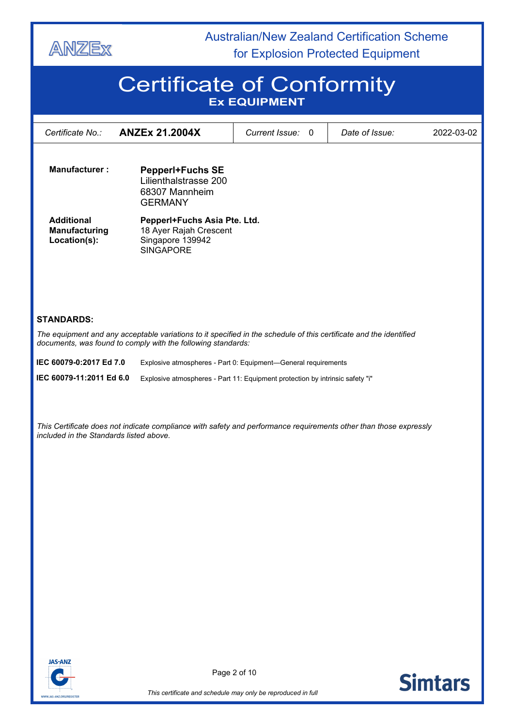

# Certificate of Conformity **Ex EQUIPMENT**

| Certificate No.:                                   | <b>ANZEx 21.2004X</b>                                                                                                                                                              | Current Issue:<br>$\mathbf{0}$                                                | Date of Issue: | 2022-03-02 |
|----------------------------------------------------|------------------------------------------------------------------------------------------------------------------------------------------------------------------------------------|-------------------------------------------------------------------------------|----------------|------------|
|                                                    |                                                                                                                                                                                    |                                                                               |                |            |
| <b>Manufacturer:</b>                               | <b>PepperI+Fuchs SE</b><br>Lilienthalstrasse 200<br>68307 Mannheim<br><b>GERMANY</b>                                                                                               |                                                                               |                |            |
| <b>Additional</b><br>Manufacturing<br>Location(s): | Pepperl+Fuchs Asia Pte. Ltd.<br>18 Ayer Rajah Crescent<br>Singapore 139942<br><b>SINGAPORE</b>                                                                                     |                                                                               |                |            |
| <b>STANDARDS:</b>                                  |                                                                                                                                                                                    |                                                                               |                |            |
|                                                    | The equipment and any acceptable variations to it specified in the schedule of this certificate and the identified<br>documents, was found to comply with the following standards: |                                                                               |                |            |
| IEC 60079-0:2017 Ed 7.0                            |                                                                                                                                                                                    | Explosive atmospheres - Part 0: Equipment-General requirements                |                |            |
| IEC 60079-11:2011 Ed 6.0                           |                                                                                                                                                                                    | Explosive atmospheres - Part 11: Equipment protection by intrinsic safety "i" |                |            |
|                                                    |                                                                                                                                                                                    |                                                                               |                |            |
| included in the Standards listed above.            | This Certificate does not indicate compliance with safety and performance requirements other than those expressly                                                                  |                                                                               |                |            |
|                                                    |                                                                                                                                                                                    |                                                                               |                |            |
|                                                    |                                                                                                                                                                                    |                                                                               |                |            |
|                                                    |                                                                                                                                                                                    |                                                                               |                |            |
|                                                    |                                                                                                                                                                                    |                                                                               |                |            |
|                                                    |                                                                                                                                                                                    |                                                                               |                |            |
|                                                    |                                                                                                                                                                                    |                                                                               |                |            |
|                                                    |                                                                                                                                                                                    |                                                                               |                |            |
|                                                    |                                                                                                                                                                                    |                                                                               |                |            |
|                                                    |                                                                                                                                                                                    |                                                                               |                |            |



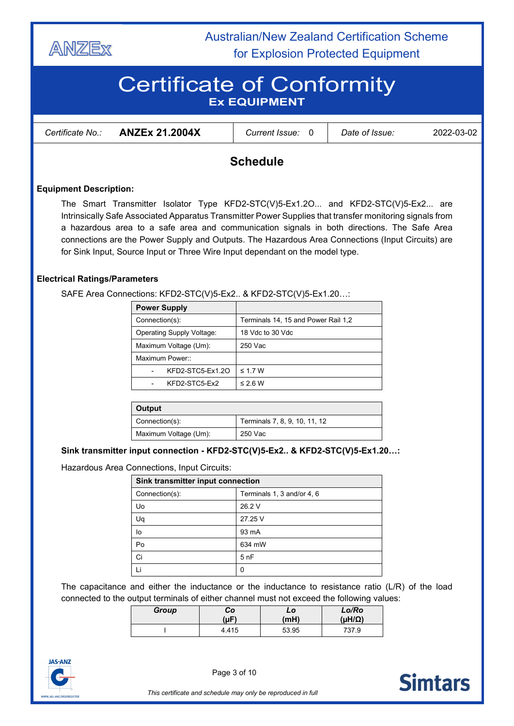

# Certificate of Conformity **Ex EQUIPMENT**

| Certificate No.∶ | <b>ANZEx 21.2004X</b> | <i>Current Issue:</i> | Date of Issue: | 2022-03-02 |
|------------------|-----------------------|-----------------------|----------------|------------|
|                  |                       |                       |                |            |

### **Schedule**

### **Equipment Description:**

The Smart Transmitter Isolator Type KFD2-STC(V)5-Ex1.2O... and KFD2-STC(V)5-Ex2... are Intrinsically Safe Associated Apparatus Transmitter Power Supplies that transfer monitoring signals from a hazardous area to a safe area and communication signals in both directions. The Safe Area connections are the Power Supply and Outputs. The Hazardous Area Connections (Input Circuits) are for Sink Input, Source Input or Three Wire Input dependant on the model type.

### **Electrical Ratings/Parameters**

SAFE Area Connections: KFD2-STC(V)5-Ex2.. & KFD2-STC(V)5-Ex1.20…:

| <b>Power Supply</b>       |                                     |
|---------------------------|-------------------------------------|
| Connection(s):            | Terminals 14, 15 and Power Rail 1,2 |
| Operating Supply Voltage: | 18 Vdc to 30 Vdc                    |
| Maximum Voltage (Um):     | 250 Vac                             |
| Maximum Power::           |                                     |
| KFD2-STC5-Ex1.2O          | $\leq$ 1.7 W                        |
| KFD2-STC5-Ex2             | $\leq$ 2.6 W                        |

| Output                |                               |
|-----------------------|-------------------------------|
| Connection(s):        | Terminals 7, 8, 9, 10, 11, 12 |
| Maximum Voltage (Um): | 250 Vac                       |

#### **Sink transmitter input connection - KFD2-STC(V)5-Ex2.. & KFD2-STC(V)5-Ex1.20…:**

Hazardous Area Connections, Input Circuits:

| Sink transmitter input connection            |         |  |
|----------------------------------------------|---------|--|
| Terminals 1, 3 and/or 4, 6<br>Connection(s): |         |  |
| Uo                                           | 26.2 V  |  |
| Uq                                           | 27.25 V |  |
| lo                                           | 93 mA   |  |
| Po                                           | 634 mW  |  |
| Ci                                           | 5nF     |  |
|                                              | 0       |  |

The capacitance and either the inductance or the inductance to resistance ratio (L/R) of the load connected to the output terminals of either channel must not exceed the following values:

| Group | Co        | LO    | Lo/Ro            |
|-------|-----------|-------|------------------|
|       | $(\mu F)$ | (mH)  | $(\mu H/\Omega)$ |
|       | 4.415     | 53.95 | 737.9            |



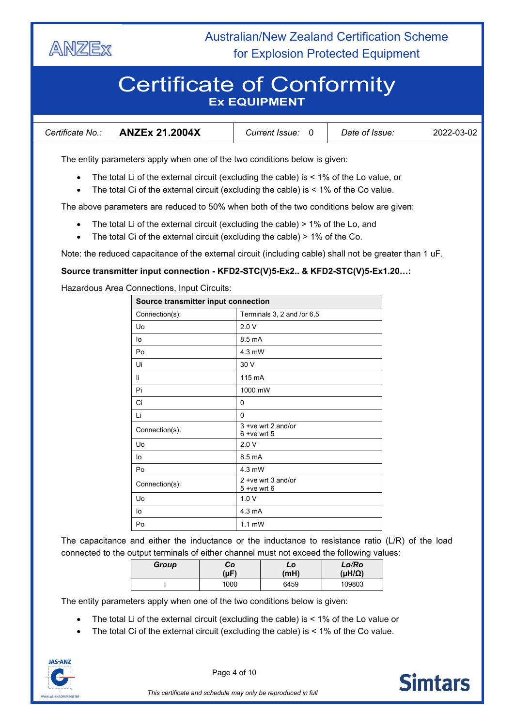

# Certificate of Conformity **Ex EQUIPMENT**

| <b>ANZEx 21.2004X</b><br>Certificate No.: | <b>Current Issue:</b> | Date of Issue: | 2022-03-02 |
|-------------------------------------------|-----------------------|----------------|------------|
|-------------------------------------------|-----------------------|----------------|------------|

The entity parameters apply when one of the two conditions below is given:

- The total Li of the external circuit (excluding the cable) is  $<$  1% of the Lo value, or
- The total Ci of the external circuit (excluding the cable) is < 1% of the Co value.

The above parameters are reduced to 50% when both of the two conditions below are given:

- The total Li of the external circuit (excluding the cable) > 1% of the Lo, and
- The total Ci of the external circuit (excluding the cable) > 1% of the Co.

Note: the reduced capacitance of the external circuit (including cable) shall not be greater than 1 uF.

### **Source transmitter input connection - KFD2-STC(V)5-Ex2.. & KFD2-STC(V)5-Ex1.20…:**

Hazardous Area Connections, Input Circuits:

| Source transmitter input connection |                                         |  |
|-------------------------------------|-----------------------------------------|--|
| Connection(s):                      | Terminals 3, 2 and /or 6,5              |  |
| Uo                                  | 2.0V                                    |  |
| lo                                  | 8.5 mA                                  |  |
| Po                                  | 4.3 mW                                  |  |
| Ui                                  | 30 V                                    |  |
| li                                  | 115 mA                                  |  |
| Pi                                  | 1000 mW                                 |  |
| Ci                                  | 0                                       |  |
| Li                                  | $\Omega$                                |  |
| Connection(s):                      | 3 + ve wrt 2 and/or<br>$6 + ve$ wrt 5   |  |
| Uo                                  | 2.0V                                    |  |
| lo                                  | 8.5 mA                                  |  |
| Po                                  | $4.3$ mW                                |  |
| Connection(s):                      | $2 + ve$ wrt 3 and/or<br>$5 + ve$ wrt 6 |  |
| Uo                                  | 1.0V                                    |  |
| 4.3 mA<br>lo                        |                                         |  |
| Po                                  | $1.1 \text{ mW}$                        |  |

The capacitance and either the inductance or the inductance to resistance ratio (L/R) of the load connected to the output terminals of either channel must not exceed the following values:

| Group | Co<br>(µF) | LO<br>(mH) | Lo/Ro<br>$(\mu H/\Omega)$ |
|-------|------------|------------|---------------------------|
|       | 1000       | 6459       | 109803                    |

The entity parameters apply when one of the two conditions below is given:

- The total Li of the external circuit (excluding the cable) is < 1% of the Lo value or
- The total Ci of the external circuit (excluding the cable) is  $<$  1% of the Co value.



Page 4 of 10

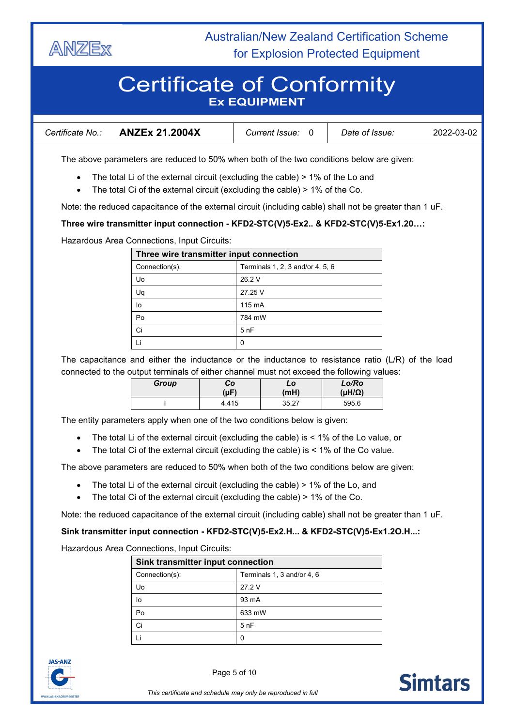

# Certificate of Conformity **Ex EQUIPMENT**

| <b>ANZEx 21.2004X</b><br>Certificate No.: | <i>Current Issue:</i> | Date of Issue: | 2022-03-02 |
|-------------------------------------------|-----------------------|----------------|------------|
|-------------------------------------------|-----------------------|----------------|------------|

The above parameters are reduced to 50% when both of the two conditions below are given:

- The total Li of the external circuit (excluding the cable) > 1% of the Lo and
- The total Ci of the external circuit (excluding the cable) > 1% of the Co.

Note: the reduced capacitance of the external circuit (including cable) shall not be greater than 1 uF.

### **Three wire transmitter input connection - KFD2-STC(V)5-Ex2.. & KFD2-STC(V)5-Ex1.20…:**

Hazardous Area Connections, Input Circuits:

| Three wire transmitter input connection            |         |  |
|----------------------------------------------------|---------|--|
| Terminals 1, 2, 3 and/or 4, 5, 6<br>Connection(s): |         |  |
| Uo                                                 | 26.2 V  |  |
| Uq                                                 | 27.25 V |  |
| lo                                                 | 115 mA  |  |
| Po                                                 | 784 mW  |  |
| Ci                                                 | 5nF     |  |
|                                                    | 0       |  |

The capacitance and either the inductance or the inductance to resistance ratio (L/R) of the load connected to the output terminals of either channel must not exceed the following values:

| Group | Co    | LO    | Lo/Ro            |
|-------|-------|-------|------------------|
|       | (µF)  | (mH)  | $(\mu H/\Omega)$ |
|       | 4.415 | 35.27 | 595.6            |

The entity parameters apply when one of the two conditions below is given:

- The total Li of the external circuit (excluding the cable) is  $<$  1% of the Lo value, or
- The total Ci of the external circuit (excluding the cable) is < 1% of the Co value.

The above parameters are reduced to 50% when both of the two conditions below are given:

- The total Li of the external circuit (excluding the cable) > 1% of the Lo, and
- The total Ci of the external circuit (excluding the cable) > 1% of the Co.

Note: the reduced capacitance of the external circuit (including cable) shall not be greater than 1 uF.

#### **Sink transmitter input connection - KFD2-STC(V)5-Ex2.H... & KFD2-STC(V)5-Ex1.2O.H...:**

Hazardous Area Connections, Input Circuits:

| Sink transmitter input connection            |        |  |  |  |
|----------------------------------------------|--------|--|--|--|
| Terminals 1, 3 and/or 4, 6<br>Connection(s): |        |  |  |  |
| Uo                                           | 27.2 V |  |  |  |
| lo                                           | 93 mA  |  |  |  |
| Po                                           | 633 mW |  |  |  |
| Ci                                           | 5nF    |  |  |  |
|                                              |        |  |  |  |



Page 5 of 10

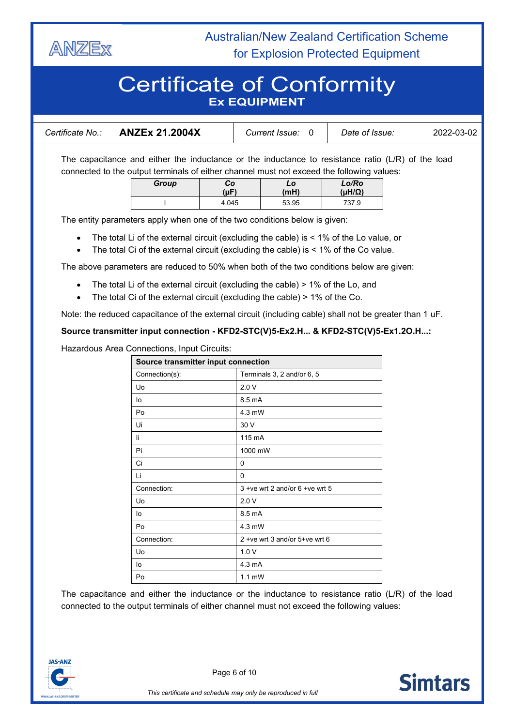

# Certificate of Conformity **Ex EQUIPMENT**

| Certificate No.: | <b>ANZEx 21.2004X</b> | <i>Current Issue:</i> | Date of Issue: | 2022-03-02 |
|------------------|-----------------------|-----------------------|----------------|------------|
|------------------|-----------------------|-----------------------|----------------|------------|

The capacitance and either the inductance or the inductance to resistance ratio (L/R) of the load connected to the output terminals of either channel must not exceed the following values:

| Group | Co        | LO    | Lo/Ro            |
|-------|-----------|-------|------------------|
|       | $(\mu F)$ | (mH)  | $(\mu H/\Omega)$ |
|       | 4.045     | 53.95 | 737.9            |

The entity parameters apply when one of the two conditions below is given:

- The total Li of the external circuit (excluding the cable) is < 1% of the Lo value, or
- The total Ci of the external circuit (excluding the cable) is  $<$  1% of the Co value.

The above parameters are reduced to 50% when both of the two conditions below are given:

- The total Li of the external circuit (excluding the cable) > 1% of the Lo, and
- The total Ci of the external circuit (excluding the cable) > 1% of the Co.

Note: the reduced capacitance of the external circuit (including cable) shall not be greater than 1 uF.

### **Source transmitter input connection - KFD2-STC(V)5-Ex2.H... & KFD2-STC(V)5-Ex1.2O.H...:**

Hazardous Area Connections, Input Circuits:

| Source transmitter input connection |                                   |  |  |  |
|-------------------------------------|-----------------------------------|--|--|--|
| Connection(s):                      | Terminals 3, 2 and/or 6, 5        |  |  |  |
| Uo                                  | 2.0V                              |  |  |  |
| lo                                  | 8.5 mA                            |  |  |  |
| Po                                  | 4.3 mW                            |  |  |  |
| Ui                                  | 30 V                              |  |  |  |
| li                                  | 115 mA                            |  |  |  |
| Pi                                  | 1000 mW                           |  |  |  |
| Ci                                  | 0                                 |  |  |  |
| Li                                  | 0                                 |  |  |  |
| Connection:                         | $3 + ve$ wrt 2 and/or 6 +ve wrt 5 |  |  |  |
| Uo                                  | 2.0V                              |  |  |  |
| lo                                  | 8.5 mA                            |  |  |  |
| Po                                  | 4.3 mW                            |  |  |  |
| Connection:                         | 2 + ve wrt 3 and/or 5 + ve wrt 6  |  |  |  |
| Uo                                  | 1.0V                              |  |  |  |
| lo                                  | 4.3 mA                            |  |  |  |
| Po                                  | $1.1 \text{ mW}$                  |  |  |  |

The capacitance and either the inductance or the inductance to resistance ratio (L/R) of the load connected to the output terminals of either channel must not exceed the following values:



Page 6 of 10

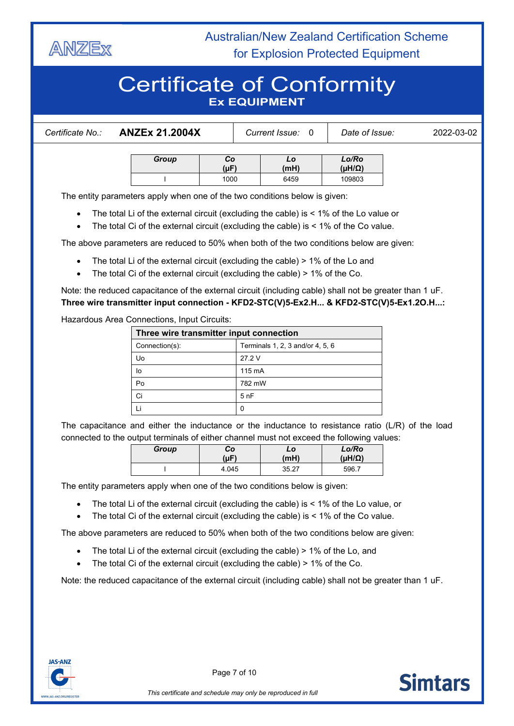

# Certificate of Conformity **Ex EQUIPMENT**

| Certificate No.: | <b>ANZEx 21.2004X</b>                                                      |                 | Current Issue: 0 |  | Date of Issue:         | 2022-03-02 |  |
|------------------|----------------------------------------------------------------------------|-----------------|------------------|--|------------------------|------------|--|
|                  | Group                                                                      | Co<br>$(\mu F)$ | LO<br>(mH)       |  | Lo/Ro<br>$(HH/\Omega)$ |            |  |
|                  |                                                                            | 1000            | 6459             |  | 109803                 |            |  |
|                  | The entity parameters apply when one of the two conditions below is given: |                 |                  |  |                        |            |  |

• The total Li of the external circuit (excluding the cable) is < 1% of the Lo value or

• The total Ci of the external circuit (excluding the cable) is < 1% of the Co value.

The above parameters are reduced to 50% when both of the two conditions below are given:

- The total Li of the external circuit (excluding the cable) > 1% of the Lo and
- The total Ci of the external circuit (excluding the cable) > 1% of the Co.

Note: the reduced capacitance of the external circuit (including cable) shall not be greater than 1 uF. **Three wire transmitter input connection - KFD2-STC(V)5-Ex2.H... & KFD2-STC(V)5-Ex1.2O.H...:**

Hazardous Area Connections, Input Circuits:

| Three wire transmitter input connection |                                  |  |  |
|-----------------------------------------|----------------------------------|--|--|
| Connection(s):                          | Terminals 1, 2, 3 and/or 4, 5, 6 |  |  |
| Uo                                      | 27.2 V                           |  |  |
| lo                                      | 115 mA                           |  |  |
| Po                                      | 782 mW                           |  |  |
| Ci                                      | 5nF                              |  |  |
|                                         |                                  |  |  |

The capacitance and either the inductance or the inductance to resistance ratio (L/R) of the load connected to the output terminals of either channel must not exceed the following values:

| Group | Co    | LO    | Lo/Ro            |
|-------|-------|-------|------------------|
|       | (µF)  | (mH)  | $(\mu H/\Omega)$ |
|       | 4.045 | 35.27 | 596.7            |

The entity parameters apply when one of the two conditions below is given:

- The total Li of the external circuit (excluding the cable) is < 1% of the Lo value, or
- The total Ci of the external circuit (excluding the cable) is < 1% of the Co value.

The above parameters are reduced to 50% when both of the two conditions below are given:

- The total Li of the external circuit (excluding the cable) > 1% of the Lo, and
- The total Ci of the external circuit (excluding the cable) > 1% of the Co.

Note: the reduced capacitance of the external circuit (including cable) shall not be greater than 1 uF.



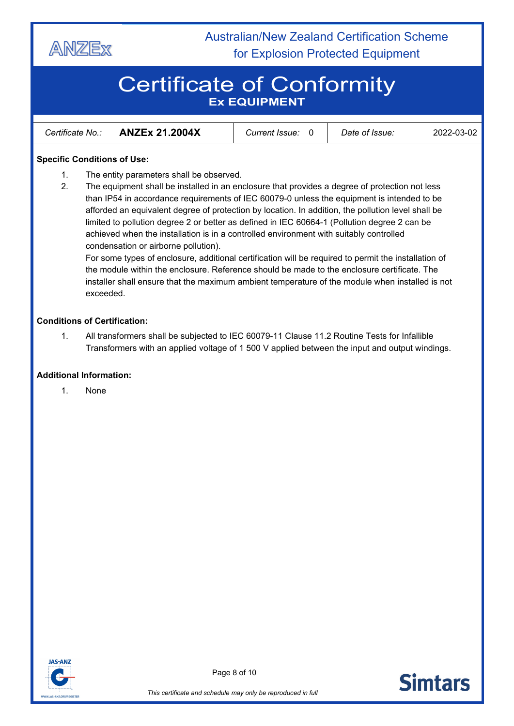

# Certificate of Conformity **Ex EQUIPMENT**

| <b>ANZEx 21.2004X</b><br>Certificate No.: | <i>Current Issue:</i> | Date of Issue: | 2022-03-02 |
|-------------------------------------------|-----------------------|----------------|------------|
|-------------------------------------------|-----------------------|----------------|------------|

### **Specific Conditions of Use:**

- 1. The entity parameters shall be observed.
- 2. The equipment shall be installed in an enclosure that provides a degree of protection not less than IP54 in accordance requirements of IEC 60079-0 unless the equipment is intended to be afforded an equivalent degree of protection by location. In addition, the pollution level shall be limited to pollution degree 2 or better as defined in IEC 60664-1 (Pollution degree 2 can be achieved when the installation is in a controlled environment with suitably controlled condensation or airborne pollution).

For some types of enclosure, additional certification will be required to permit the installation of the module within the enclosure. Reference should be made to the enclosure certificate. The installer shall ensure that the maximum ambient temperature of the module when installed is not exceeded.

### **Conditions of Certification:**

1. All transformers shall be subjected to IEC 60079-11 Clause 11.2 Routine Tests for Infallible Transformers with an applied voltage of 1 500 V applied between the input and output windings.

### **Additional Information:**

1. None



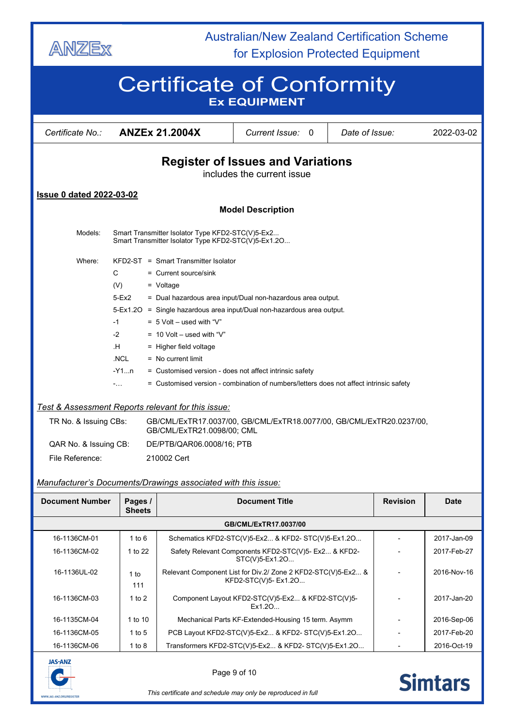

# Certificate of Conformity **Ex EQUIPMENT**

| Certificate No.:                                                       |                                                                                                         | <b>ANZEx 21.2004X</b>                                                                              | Current Issue:                                                         | Date of Issue:<br>0 |             | 2022-03-02  |  |  |  |
|------------------------------------------------------------------------|---------------------------------------------------------------------------------------------------------|----------------------------------------------------------------------------------------------------|------------------------------------------------------------------------|---------------------|-------------|-------------|--|--|--|
| <b>Register of Issues and Variations</b><br>includes the current issue |                                                                                                         |                                                                                                    |                                                                        |                     |             |             |  |  |  |
| <b>Issue 0 dated 2022-03-02</b>                                        |                                                                                                         |                                                                                                    |                                                                        |                     |             |             |  |  |  |
|                                                                        |                                                                                                         |                                                                                                    | <b>Model Description</b>                                               |                     |             |             |  |  |  |
| Models:                                                                | Smart Transmitter Isolator Type KFD2-STC(V)5-Ex2<br>Smart Transmitter Isolator Type KFD2-STC(V)5-Ex1.2O |                                                                                                    |                                                                        |                     |             |             |  |  |  |
| Where:                                                                 |                                                                                                         | KFD2-ST = Smart Transmitter Isolator                                                               |                                                                        |                     |             |             |  |  |  |
| C                                                                      |                                                                                                         | $=$ Current source/sink                                                                            |                                                                        |                     |             |             |  |  |  |
| (V)                                                                    |                                                                                                         | $=$ Voltage                                                                                        |                                                                        |                     |             |             |  |  |  |
|                                                                        | $5-Ex2$                                                                                                 | = Dual hazardous area input/Dual non-hazardous area output.                                        |                                                                        |                     |             |             |  |  |  |
|                                                                        |                                                                                                         | 5-Ex1.2O = Single hazardous area input/Dual non-hazardous area output.                             |                                                                        |                     |             |             |  |  |  |
| -1                                                                     |                                                                                                         | $= 5$ Volt – used with "V"                                                                         |                                                                        |                     |             |             |  |  |  |
| $-2$                                                                   |                                                                                                         | $= 10$ Volt – used with "V"                                                                        |                                                                        |                     |             |             |  |  |  |
|                                                                        | .H<br>$=$ Higher field voltage                                                                          |                                                                                                    |                                                                        |                     |             |             |  |  |  |
|                                                                        | .NCL<br>$=$ No current limit                                                                            |                                                                                                    |                                                                        |                     |             |             |  |  |  |
|                                                                        | -Y1…n                                                                                                   | = Customised version - does not affect intrinsic safety                                            |                                                                        |                     |             |             |  |  |  |
|                                                                        | $-1.11$                                                                                                 | = Customised version - combination of numbers/letters does not affect intrinsic safety             |                                                                        |                     |             |             |  |  |  |
| Test & Assessment Reports relevant for this issue:                     |                                                                                                         |                                                                                                    |                                                                        |                     |             |             |  |  |  |
| TR No. & Issuing CBs:                                                  |                                                                                                         | GB/CML/ExTR17.0037/00, GB/CML/ExTR18.0077/00, GB/CML/ExTR20.0237/00,<br>GB/CML/ExTR21.0098/00; CML |                                                                        |                     |             |             |  |  |  |
| QAR No. & Issuing CB:                                                  |                                                                                                         | DE/PTB/QAR06.0008/16; PTB                                                                          |                                                                        |                     |             |             |  |  |  |
| File Reference:                                                        |                                                                                                         | 210002 Cert                                                                                        |                                                                        |                     |             |             |  |  |  |
| Manufacturer's Documents/Drawings associated with this issue:          |                                                                                                         |                                                                                                    |                                                                        |                     |             |             |  |  |  |
| Document Number                                                        | Pages /<br><b>Sheets</b>                                                                                |                                                                                                    | <b>Document Title</b>                                                  |                     | Revision    | Date        |  |  |  |
|                                                                        |                                                                                                         |                                                                                                    | GB/CML/ExTR17.0037/00                                                  |                     |             |             |  |  |  |
| 16-1136CM-01                                                           | $1$ to $6$                                                                                              |                                                                                                    | Schematics KFD2-STC(V)5-Ex2 & KFD2-STC(V)5-Ex1.2O                      |                     |             | 2017-Jan-09 |  |  |  |
| 16-1136CM-02                                                           | 1 to 22                                                                                                 |                                                                                                    | Safety Relevant Components KFD2-STC(V)5- Ex2 & KFD2-<br>STC(V)5-Ex1.2O |                     |             | 2017-Feb-27 |  |  |  |
| 16-1136UL-02                                                           | 1 to<br>111                                                                                             | Relevant Component List for Div.2/ Zone 2 KFD2-STC(V)5-Ex2 &                                       | KFD2-STC(V)5- Ex1.2O                                                   |                     |             | 2016-Nov-16 |  |  |  |
| 16-1136CM-03                                                           | Component Layout KFD2-STC(V)5-Ex2 & KFD2-STC(V)5-<br>1 to $2$<br>Ex1.20                                 |                                                                                                    |                                                                        |                     | 2017-Jan-20 |             |  |  |  |
| 16-1135CM-04                                                           | 1 to 10                                                                                                 |                                                                                                    | Mechanical Parts KF-Extended-Housing 15 term. Asymm                    |                     |             | 2016-Sep-06 |  |  |  |
| 16-1136CM-05                                                           | 1 to $5$                                                                                                |                                                                                                    | PCB Layout KFD2-STC(V)5-Ex2 & KFD2-STC(V)5-Ex1.2O                      |                     |             | 2017-Feb-20 |  |  |  |
| 16-1136CM-06                                                           | 1 to $8$                                                                                                | Transformers KFD2-STC(V)5-Ex2 & KFD2-STC(V)5-Ex1.2O<br>2016-Oct-19                                 |                                                                        |                     |             |             |  |  |  |



Page 9 of 10



*This certificate and schedule may only be reproduced in full*